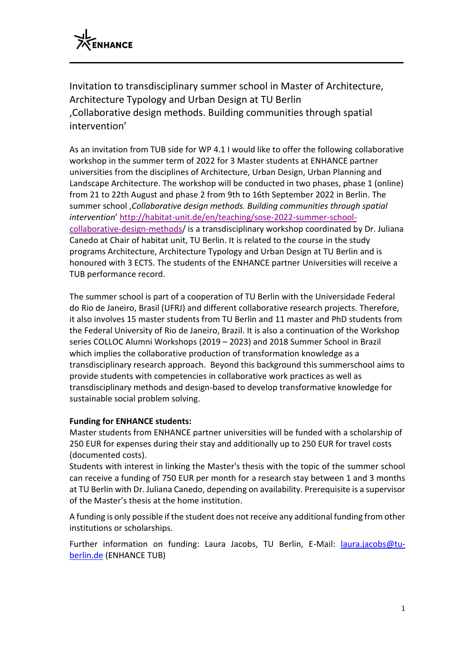

Invitation to transdisciplinary summer school in Master of Architecture, Architecture Typology and Urban Design at TU Berlin 'Collaborative design methods. Building communities through spatial intervention'

As an invitation from TUB side for WP 4.1 I would like to offer the following collaborative workshop in the summer term of 2022 for 3 Master students at ENHANCE partner universities from the disciplines of Architecture, Urban Design, Urban Planning and Landscape Architecture. The workshop will be conducted in two phases, phase 1 (online) from 21 to 22th August and phase 2 from 9th to 16th September 2022 in Berlin. The summer school '*Collaborative design methods. Building communities through spatial intervention*' [http://habitat-unit.de/en/teaching/sose-2022-summer-school](http://habitat-unit.de/en/teaching/sose-2022-summer-school-collaborative-design-methods)[collaborative-design-methods/](http://habitat-unit.de/en/teaching/sose-2022-summer-school-collaborative-design-methods) is a transdisciplinary workshop coordinated by Dr. Juliana Canedo at Chair of habitat unit, TU Berlin. It is related to the course in the study programs Architecture, Architecture Typology and Urban Design at TU Berlin and is honoured with 3 ECTS. The students of the ENHANCE partner Universities will receive a TUB performance record.

The summer school is part of a cooperation of TU Berlin with the Universidade Federal do Rio de Janeiro, Brasil (UFRJ) and different collaborative research projects. Therefore, it also involves 15 master students from TU Berlin and 11 master and PhD students from the Federal University of Rio de Janeiro, Brazil. It is also a continuation of the Workshop series COLLOC Alumni Workshops (2019 – 2023) and 2018 Summer School in Brazil which implies the collaborative production of transformation knowledge as a transdisciplinary research approach. Beyond this background this summerschool aims to provide students with competencies in collaborative work practices as well as transdisciplinary methods and design-based to develop transformative knowledge for sustainable social problem solving.

## **Funding for ENHANCE students:**

Master students from ENHANCE partner universities will be funded with a scholarship of 250 EUR for expenses during their stay and additionally up to 250 EUR for travel costs (documented costs).

Students with interest in linking the Master's thesis with the topic of the summer school can receive a funding of 750 EUR per month for a research stay between 1 and 3 months at TU Berlin with Dr. Juliana Canedo, depending on availability. Prerequisite is a supervisor of the Master's thesis at the home institution.

A funding is only possible if the student does not receive any additional funding from other institutions or scholarships.

Further information on funding: Laura Jacobs, TU Berlin, E-Mail: *[laura.jacobs@tu](mailto:laura.jacobs@tu-berlin.de)*[berlin.de](mailto:laura.jacobs@tu-berlin.de) (ENHANCE TUB)